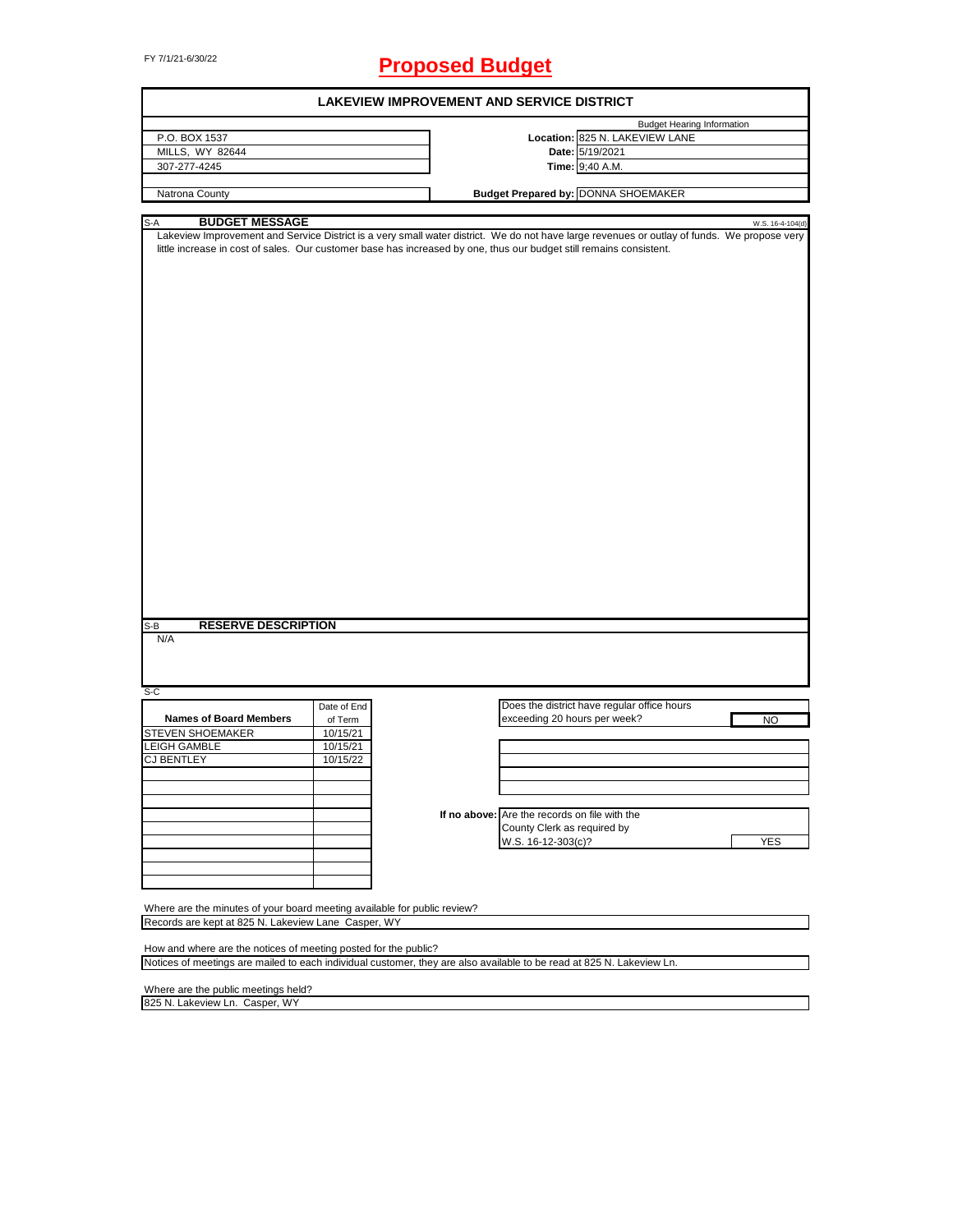# FY 7/1/21-6/30/22 **Proposed Budget**

| <b>LAKEVIEW IMPROVEMENT AND SERVICE DISTRICT</b>                                                                                                                                                                                                                   |             |  |                                               |                                   |                  |  |
|--------------------------------------------------------------------------------------------------------------------------------------------------------------------------------------------------------------------------------------------------------------------|-------------|--|-----------------------------------------------|-----------------------------------|------------------|--|
|                                                                                                                                                                                                                                                                    |             |  |                                               | <b>Budget Hearing Information</b> |                  |  |
| P.O. BOX 1537                                                                                                                                                                                                                                                      |             |  |                                               | Location: 825 N. LAKEVIEW LANE    |                  |  |
| MILLS, WY 82644                                                                                                                                                                                                                                                    |             |  | Date: 5/19/2021                               |                                   |                  |  |
| 307-277-4245                                                                                                                                                                                                                                                       |             |  | Time: 9;40 A.M.                               |                                   |                  |  |
|                                                                                                                                                                                                                                                                    |             |  |                                               |                                   |                  |  |
| Natrona County                                                                                                                                                                                                                                                     |             |  | <b>Budget Prepared by: DONNA SHOEMAKER</b>    |                                   |                  |  |
|                                                                                                                                                                                                                                                                    |             |  |                                               |                                   |                  |  |
| <b>BUDGET MESSAGE</b><br>S-A                                                                                                                                                                                                                                       |             |  |                                               |                                   | W.S. 16-4-104(d) |  |
| Lakeview Improvement and Service District is a very small water district. We do not have large revenues or outlay of funds. We propose very<br>little increase in cost of sales. Our customer base has increased by one, thus our budget still remains consistent. |             |  |                                               |                                   |                  |  |
|                                                                                                                                                                                                                                                                    |             |  |                                               |                                   |                  |  |
|                                                                                                                                                                                                                                                                    |             |  |                                               |                                   |                  |  |
|                                                                                                                                                                                                                                                                    |             |  |                                               |                                   |                  |  |
|                                                                                                                                                                                                                                                                    |             |  |                                               |                                   |                  |  |
|                                                                                                                                                                                                                                                                    |             |  |                                               |                                   |                  |  |
|                                                                                                                                                                                                                                                                    |             |  |                                               |                                   |                  |  |
|                                                                                                                                                                                                                                                                    |             |  |                                               |                                   |                  |  |
|                                                                                                                                                                                                                                                                    |             |  |                                               |                                   |                  |  |
|                                                                                                                                                                                                                                                                    |             |  |                                               |                                   |                  |  |
|                                                                                                                                                                                                                                                                    |             |  |                                               |                                   |                  |  |
|                                                                                                                                                                                                                                                                    |             |  |                                               |                                   |                  |  |
|                                                                                                                                                                                                                                                                    |             |  |                                               |                                   |                  |  |
|                                                                                                                                                                                                                                                                    |             |  |                                               |                                   |                  |  |
|                                                                                                                                                                                                                                                                    |             |  |                                               |                                   |                  |  |
|                                                                                                                                                                                                                                                                    |             |  |                                               |                                   |                  |  |
|                                                                                                                                                                                                                                                                    |             |  |                                               |                                   |                  |  |
|                                                                                                                                                                                                                                                                    |             |  |                                               |                                   |                  |  |
|                                                                                                                                                                                                                                                                    |             |  |                                               |                                   |                  |  |
|                                                                                                                                                                                                                                                                    |             |  |                                               |                                   |                  |  |
|                                                                                                                                                                                                                                                                    |             |  |                                               |                                   |                  |  |
|                                                                                                                                                                                                                                                                    |             |  |                                               |                                   |                  |  |
|                                                                                                                                                                                                                                                                    |             |  |                                               |                                   |                  |  |
|                                                                                                                                                                                                                                                                    |             |  |                                               |                                   |                  |  |
|                                                                                                                                                                                                                                                                    |             |  |                                               |                                   |                  |  |
|                                                                                                                                                                                                                                                                    |             |  |                                               |                                   |                  |  |
|                                                                                                                                                                                                                                                                    |             |  |                                               |                                   |                  |  |
|                                                                                                                                                                                                                                                                    |             |  |                                               |                                   |                  |  |
|                                                                                                                                                                                                                                                                    |             |  |                                               |                                   |                  |  |
|                                                                                                                                                                                                                                                                    |             |  |                                               |                                   |                  |  |
|                                                                                                                                                                                                                                                                    |             |  |                                               |                                   |                  |  |
|                                                                                                                                                                                                                                                                    |             |  |                                               |                                   |                  |  |
| <b>RESERVE DESCRIPTION</b><br>S-B                                                                                                                                                                                                                                  |             |  |                                               |                                   |                  |  |
| N/A                                                                                                                                                                                                                                                                |             |  |                                               |                                   |                  |  |
|                                                                                                                                                                                                                                                                    |             |  |                                               |                                   |                  |  |
|                                                                                                                                                                                                                                                                    |             |  |                                               |                                   |                  |  |
|                                                                                                                                                                                                                                                                    |             |  |                                               |                                   |                  |  |
| S-C                                                                                                                                                                                                                                                                |             |  |                                               |                                   |                  |  |
|                                                                                                                                                                                                                                                                    | Date of End |  | Does the district have regular office hours   |                                   |                  |  |
| <b>Names of Board Members</b>                                                                                                                                                                                                                                      |             |  | exceeding 20 hours per week?                  |                                   |                  |  |
|                                                                                                                                                                                                                                                                    | of Term     |  |                                               |                                   | <b>NO</b>        |  |
| <b>STEVEN SHOEMAKER</b>                                                                                                                                                                                                                                            | 10/15/21    |  |                                               |                                   |                  |  |
| <b>LEIGH GAMBLE</b>                                                                                                                                                                                                                                                | 10/15/21    |  |                                               |                                   |                  |  |
| <b>CJ BENTLEY</b>                                                                                                                                                                                                                                                  | 10/15/22    |  |                                               |                                   |                  |  |
|                                                                                                                                                                                                                                                                    |             |  |                                               |                                   |                  |  |
|                                                                                                                                                                                                                                                                    |             |  |                                               |                                   |                  |  |
|                                                                                                                                                                                                                                                                    |             |  |                                               |                                   |                  |  |
|                                                                                                                                                                                                                                                                    |             |  |                                               |                                   |                  |  |
|                                                                                                                                                                                                                                                                    |             |  | If no above: Are the records on file with the |                                   |                  |  |
|                                                                                                                                                                                                                                                                    |             |  | County Clerk as required by                   |                                   |                  |  |
|                                                                                                                                                                                                                                                                    |             |  | W.S. 16-12-303(c)?                            |                                   | <b>YES</b>       |  |
|                                                                                                                                                                                                                                                                    |             |  |                                               |                                   |                  |  |
|                                                                                                                                                                                                                                                                    |             |  |                                               |                                   |                  |  |
|                                                                                                                                                                                                                                                                    |             |  |                                               |                                   |                  |  |
|                                                                                                                                                                                                                                                                    |             |  |                                               |                                   |                  |  |
| Where are the minutes of your board meeting available for public review?                                                                                                                                                                                           |             |  |                                               |                                   |                  |  |
|                                                                                                                                                                                                                                                                    |             |  |                                               |                                   |                  |  |
| Records are kept at 825 N. Lakeview Lane Casper, WY                                                                                                                                                                                                                |             |  |                                               |                                   |                  |  |
|                                                                                                                                                                                                                                                                    |             |  |                                               |                                   |                  |  |
| How and where are the notices of meeting posted for the public?                                                                                                                                                                                                    |             |  |                                               |                                   |                  |  |
| Notices of meetings are mailed to each individual customer, they are also available to be read at 825 N. Lakeview Ln.                                                                                                                                              |             |  |                                               |                                   |                  |  |
|                                                                                                                                                                                                                                                                    |             |  |                                               |                                   |                  |  |
| Where are the public meetings held?                                                                                                                                                                                                                                |             |  |                                               |                                   |                  |  |
| 825 N. Lakeview Ln. Casper, WY                                                                                                                                                                                                                                     |             |  |                                               |                                   |                  |  |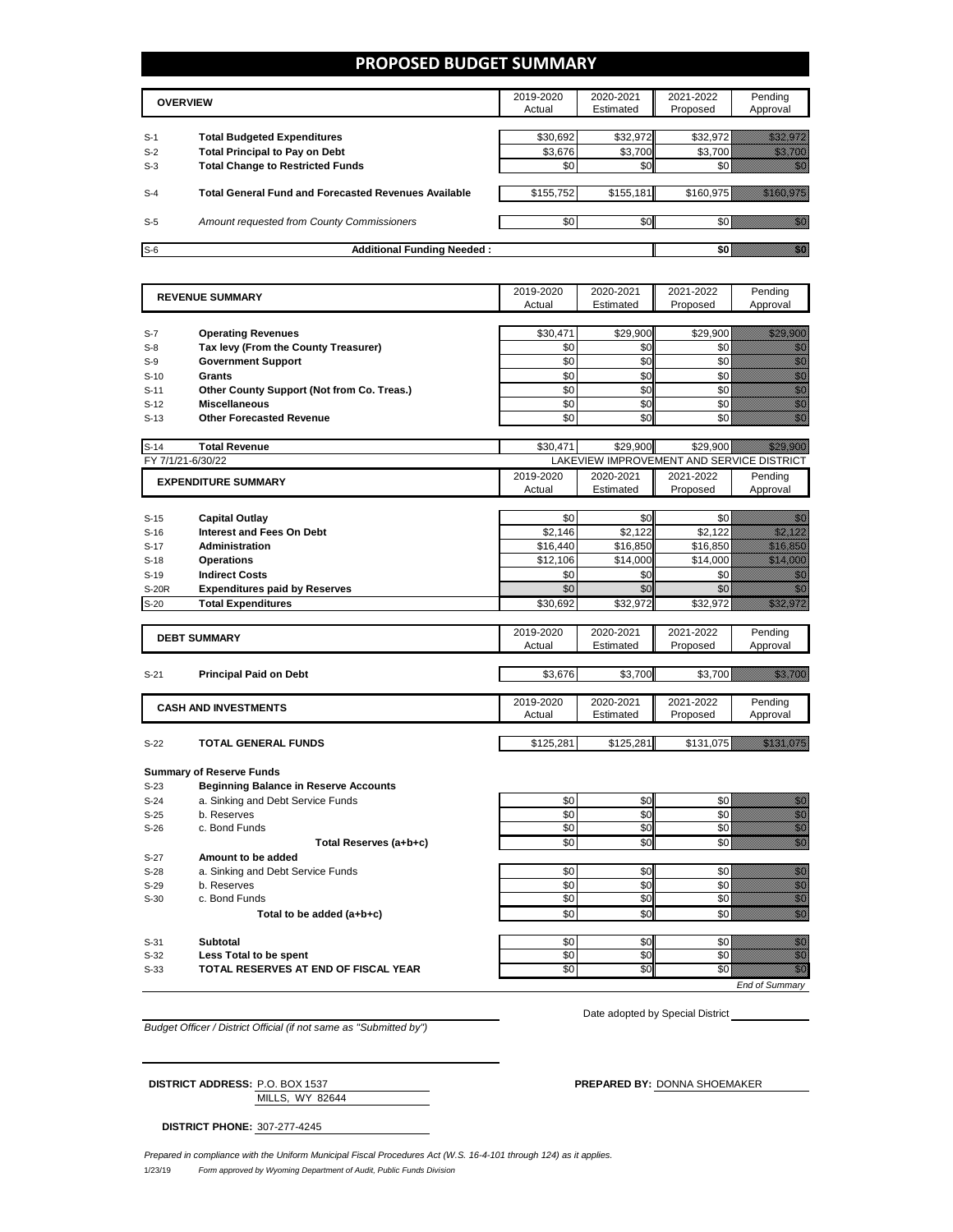#### **PROPOSED BUDGET SUMMARY**

|       | <b>OVERVIEW</b>                                             | 2019-2020<br>Actual | 2020-2021<br>Estimated | 2021-2022<br>Proposed | Pendina<br>Approval |
|-------|-------------------------------------------------------------|---------------------|------------------------|-----------------------|---------------------|
| $S-1$ | <b>Total Budgeted Expenditures</b>                          | \$30,692            | \$32,972               | \$32.972              |                     |
| $S-2$ | <b>Total Principal to Pay on Debt</b>                       | \$3,676             | \$3,700                | \$3,700               |                     |
| $S-3$ | <b>Total Change to Restricted Funds</b>                     | \$0                 | \$0                    |                       |                     |
|       |                                                             |                     |                        |                       |                     |
| $S-4$ | <b>Total General Fund and Forecasted Revenues Available</b> | \$155,752           | \$155,181              | \$160.975             |                     |
| $S-5$ | Amount requested from County Commissioners                  | \$0                 | \$0                    |                       |                     |
| $S-6$ | <b>Additional Funding Needed:</b>                           |                     |                        |                       |                     |

|                   | <b>REVENUE SUMMARY</b>                       |           | 2020-2021 | 2021-2022                                 | Pending                                                                                                                                                                                                                                                                                                                                                          |
|-------------------|----------------------------------------------|-----------|-----------|-------------------------------------------|------------------------------------------------------------------------------------------------------------------------------------------------------------------------------------------------------------------------------------------------------------------------------------------------------------------------------------------------------------------|
|                   |                                              | Actual    | Estimated | Proposed                                  | Approval                                                                                                                                                                                                                                                                                                                                                         |
|                   |                                              |           |           |                                           |                                                                                                                                                                                                                                                                                                                                                                  |
| $S-7$             | <b>Operating Revenues</b>                    | \$30,471  | \$29,900  | \$29,900                                  | <u> Mariji ya K</u>                                                                                                                                                                                                                                                                                                                                              |
| $S-8$             | Tax levy (From the County Treasurer)         | \$0       | \$0       | \$0                                       | en digital<br>Mahal                                                                                                                                                                                                                                                                                                                                              |
| $S-9$             | <b>Government Support</b>                    | \$0       | \$0       | \$0                                       | en de la familie de la familie de la familie de la familie de la familie de la familie de la familie de la fam<br>Constitution de la familie de la familie de la familie de la familie de la familie de la familie de la familie                                                                                                                                 |
| $S-10$            | <b>Grants</b>                                | \$0       | \$0       | \$0                                       | enne<br>Maria<br>Maria                                                                                                                                                                                                                                                                                                                                           |
| $S-11$            | Other County Support (Not from Co. Treas.)   | \$0       | \$0       | \$0                                       | en film<br>Miller<br>Miller                                                                                                                                                                                                                                                                                                                                      |
| $S-12$            | <b>Miscellaneous</b>                         | \$0       | \$0       | \$0                                       | enne<br>Mille<br>Mille                                                                                                                                                                                                                                                                                                                                           |
| $S-13$            | <b>Other Forecasted Revenue</b>              | \$0       | \$0       | \$0                                       | en en de former de la former de la former de la former de la former de la former de la former de la former de<br>En la former de la former de la former de la former de la former de la former de la former de la former de la                                                                                                                                   |
| $S-14$            | <b>Total Revenue</b>                         | \$30.471  | \$29.900  | \$29.900                                  | <u> Martin Sa</u>                                                                                                                                                                                                                                                                                                                                                |
| FY 7/1/21-6/30/22 |                                              |           |           | LAKEVIEW IMPROVEMENT AND SERVICE DISTRICT |                                                                                                                                                                                                                                                                                                                                                                  |
|                   |                                              | 2019-2020 | 2020-2021 | 2021-2022                                 | Pending                                                                                                                                                                                                                                                                                                                                                          |
|                   | <b>EXPENDITURE SUMMARY</b>                   | Actual    | Estimated | Proposed                                  | Approval                                                                                                                                                                                                                                                                                                                                                         |
|                   |                                              |           |           |                                           |                                                                                                                                                                                                                                                                                                                                                                  |
| $S-15$            | <b>Capital Outlay</b>                        | \$0       | \$0       | \$0                                       | 1999                                                                                                                                                                                                                                                                                                                                                             |
| $S-16$            | <b>Interest and Fees On Debt</b>             | \$2,146   | \$2,122   | \$2,122                                   | <u>i Milletti k</u>                                                                                                                                                                                                                                                                                                                                              |
| $S-17$            | <b>Administration</b>                        | \$16,440  | \$16,850  | \$16,850                                  | <u>till andre s</u>                                                                                                                                                                                                                                                                                                                                              |
| $S-18$            | <b>Operations</b>                            | \$12,106  | \$14,000  | \$14,000                                  | <u> Helli Hotel Sta</u>                                                                                                                                                                                                                                                                                                                                          |
| $S-19$            | <b>Indirect Costs</b>                        | \$0       | \$0       | \$0                                       | en de la familie de la familie de la familie de la familie de la familie de la familie de la familie de la fam<br>De la familie de la familie de la familie de la familie de la familie de la familie de la familie de la famili                                                                                                                                 |
| S-20R             |                                              | \$0       | \$0       | \$0                                       | en 1999.<br>Sedan pada pada kaliman dan kaliman dan kaliman dan kaliman dan kaliman dan tahun 1999. Pada tahun 1999. Pada                                                                                                                                                                                                                                        |
|                   | <b>Expenditures paid by Reserves</b>         |           |           |                                           |                                                                                                                                                                                                                                                                                                                                                                  |
| $S-20$            | <b>Total Expenditures</b>                    | \$30,692  | \$32,972  | \$32,972                                  | <u>maanii k</u>                                                                                                                                                                                                                                                                                                                                                  |
|                   |                                              | 2019-2020 | 2020-2021 | 2021-2022                                 | Pending                                                                                                                                                                                                                                                                                                                                                          |
|                   | <b>DEBT SUMMARY</b>                          | Actual    | Estimated | Proposed                                  | Approval                                                                                                                                                                                                                                                                                                                                                         |
|                   |                                              |           |           |                                           |                                                                                                                                                                                                                                                                                                                                                                  |
| $S-21$            | <b>Principal Paid on Debt</b>                | \$3,676   | \$3,700   | \$3,700                                   | <u>till den sta</u>                                                                                                                                                                                                                                                                                                                                              |
|                   |                                              |           |           |                                           |                                                                                                                                                                                                                                                                                                                                                                  |
|                   |                                              | 2019-2020 | 2020-2021 | 2021-2022                                 | Pending                                                                                                                                                                                                                                                                                                                                                          |
|                   | <b>CASH AND INVESTMENTS</b>                  | Actual    | Estimated | Proposed                                  | Approval                                                                                                                                                                                                                                                                                                                                                         |
|                   |                                              |           |           |                                           |                                                                                                                                                                                                                                                                                                                                                                  |
| $S-22$            | <b>TOTAL GENERAL FUNDS</b>                   | \$125,281 | \$125,281 | \$131,075                                 | <u> Hillian San B</u>                                                                                                                                                                                                                                                                                                                                            |
|                   |                                              |           |           |                                           |                                                                                                                                                                                                                                                                                                                                                                  |
|                   | <b>Summary of Reserve Funds</b>              |           |           |                                           |                                                                                                                                                                                                                                                                                                                                                                  |
| $S-23$            | <b>Beginning Balance in Reserve Accounts</b> |           |           |                                           |                                                                                                                                                                                                                                                                                                                                                                  |
| $S-24$            | a. Sinking and Debt Service Funds            | \$0       | \$0       | \$0                                       | elling<br>Saadaalaha<br>Saadaalaha                                                                                                                                                                                                                                                                                                                               |
| $S-25$            | b. Reserves                                  | \$0       | \$0       | \$0                                       |                                                                                                                                                                                                                                                                                                                                                                  |
| $S-26$            | c. Bond Funds                                | \$0       | \$0       | \$0                                       |                                                                                                                                                                                                                                                                                                                                                                  |
|                   |                                              | \$0       | \$0       | \$0                                       | en de la familie de la familie de la familie de la familie de la familie de la familie de la familie de la fa<br>Geografia                                                                                                                                                                                                                                       |
|                   | Total Reserves (a+b+c)                       |           |           |                                           |                                                                                                                                                                                                                                                                                                                                                                  |
| $S-27$            | Amount to be added                           |           |           |                                           |                                                                                                                                                                                                                                                                                                                                                                  |
| $S-28$            | a. Sinking and Debt Service Funds            | \$0       | \$0       | \$0                                       |                                                                                                                                                                                                                                                                                                                                                                  |
| $S-29$            | b. Reserves                                  | \$0       | \$0       | \$0                                       |                                                                                                                                                                                                                                                                                                                                                                  |
| $S-30$            | c. Bond Funds                                | \$0       | \$0       | \$0                                       |                                                                                                                                                                                                                                                                                                                                                                  |
|                   |                                              | \$0       | \$0       | \$0                                       |                                                                                                                                                                                                                                                                                                                                                                  |
|                   | Total to be added (a+b+c)                    |           |           |                                           |                                                                                                                                                                                                                                                                                                                                                                  |
| $S-31$            | <b>Subtotal</b>                              | \$0       | \$0       | \$0                                       | en<br>Mariti                                                                                                                                                                                                                                                                                                                                                     |
| $S-32$            | Less Total to be spent                       | \$0       | \$0       | \$0                                       | e de la composición de la composición de la composición de la composición de la composición de la composición<br>Composición<br>en de la posta de la posta de la posta de la posta de la posta de la posta de la posta de la posta de la posta<br>La posta de la posta de la posta de la posta de la posta de la posta de la posta de la posta de la posta de la |
| $S-33$            | TOTAL RESERVES AT END OF FISCAL YEAR         | \$0       | SO        | \$0                                       | en de la filòlogía<br>Album de la filòlogía                                                                                                                                                                                                                                                                                                                      |

*Budget Officer / District Official (if not same as "Submitted by")*

Date adopted by Special District

MILLS, WY 82644 **DISTRICT ADDRESS:** P.O. BOX 1537 **PREPARED BY:** DONNA SHOEMAKER

**DISTRICT PHONE:** 307-277-4245

1/23/19 *Form approved by Wyoming Department of Audit, Public Funds Division Prepared in compliance with the Uniform Municipal Fiscal Procedures Act (W.S. 16-4-101 through 124) as it applies.*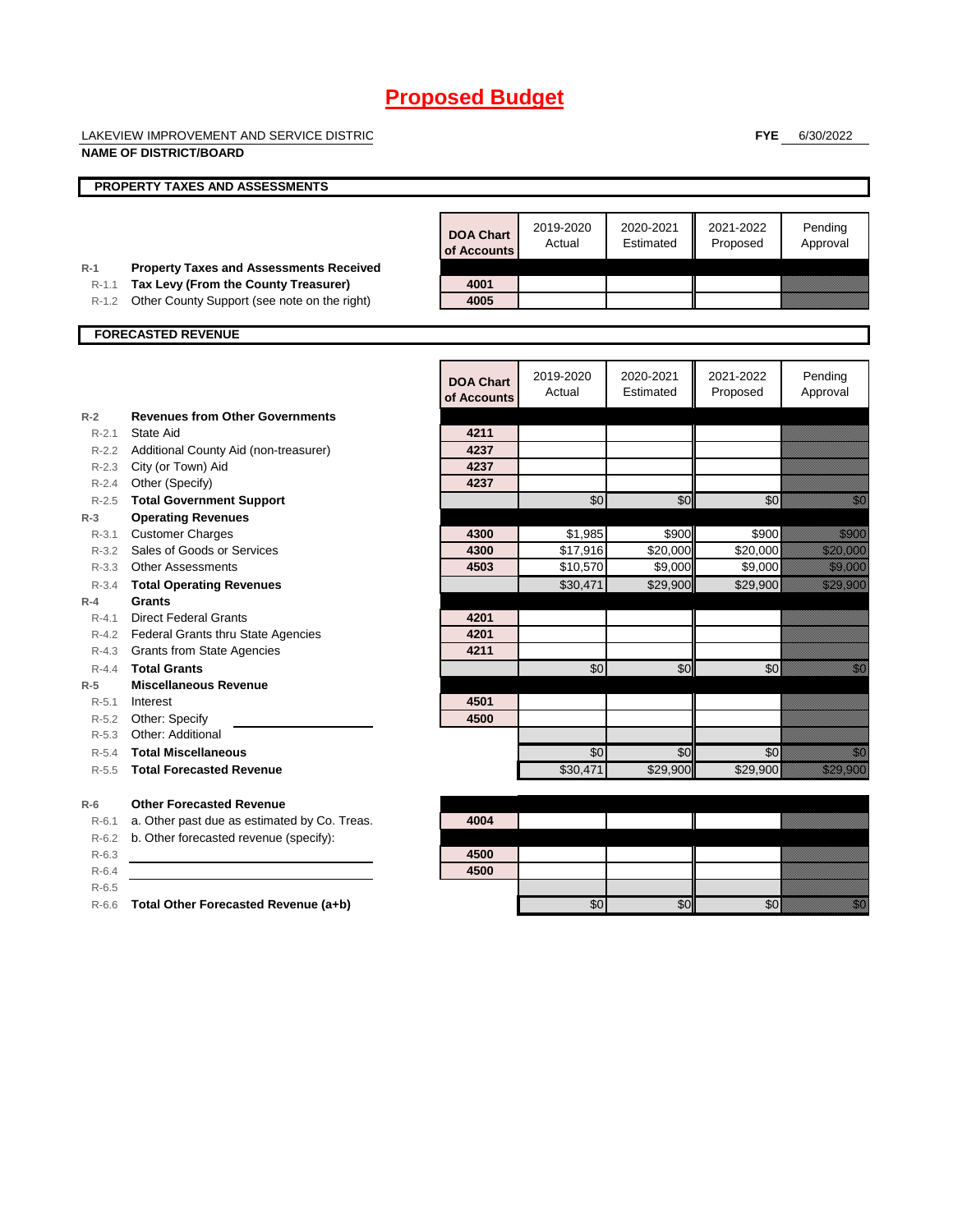LAKEVIEW IMPROVEMENT AND SERVICE DISTRICT

**NAME OF DISTRICT/BOARD**

**FYE** 6/30/2022

|           | <b>PROPERTY TAXES AND ASSESSMENTS</b>          |                                 |                     |                        |                       |                                                                                                                                                                                                                                  |
|-----------|------------------------------------------------|---------------------------------|---------------------|------------------------|-----------------------|----------------------------------------------------------------------------------------------------------------------------------------------------------------------------------------------------------------------------------|
|           |                                                |                                 |                     |                        |                       |                                                                                                                                                                                                                                  |
|           |                                                | <b>DOA Chart</b><br>of Accounts | 2019-2020<br>Actual | 2020-2021<br>Estimated | 2021-2022<br>Proposed | Pending<br>Approval                                                                                                                                                                                                              |
| $R-1$     | <b>Property Taxes and Assessments Received</b> |                                 |                     |                        |                       |                                                                                                                                                                                                                                  |
| $R - 1.1$ | Tax Levy (From the County Treasurer)           | 4001                            |                     |                        |                       |                                                                                                                                                                                                                                  |
| $R-1.2$   | Other County Support (see note on the right)   | 4005                            |                     |                        |                       |                                                                                                                                                                                                                                  |
|           | <b>FORECASTED REVENUE</b>                      |                                 |                     |                        |                       |                                                                                                                                                                                                                                  |
|           |                                                |                                 |                     |                        |                       |                                                                                                                                                                                                                                  |
|           |                                                | <b>DOA Chart</b><br>of Accounts | 2019-2020<br>Actual | 2020-2021<br>Estimated | 2021-2022<br>Proposed | Pending<br>Approval                                                                                                                                                                                                              |
| $R-2$     | <b>Revenues from Other Governments</b>         |                                 |                     |                        |                       |                                                                                                                                                                                                                                  |
| $R - 2.1$ | State Aid                                      | 4211                            |                     |                        |                       |                                                                                                                                                                                                                                  |
|           | R-2.2 Additional County Aid (non-treasurer)    | 4237                            |                     |                        |                       |                                                                                                                                                                                                                                  |
|           | R-2.3 City (or Town) Aid                       | 4237                            |                     |                        |                       |                                                                                                                                                                                                                                  |
| $R - 2.4$ | Other (Specify)                                | 4237                            |                     |                        |                       |                                                                                                                                                                                                                                  |
| $R - 2.5$ | <b>Total Government Support</b>                |                                 | \$0                 | \$0                    | \$0                   | <u>i Sa</u>                                                                                                                                                                                                                      |
| $R-3$     | <b>Operating Revenues</b>                      |                                 |                     |                        |                       |                                                                                                                                                                                                                                  |
| $R - 3.1$ | <b>Customer Charges</b>                        | 4300                            | \$1,985             | \$900                  | \$900                 | <u>ti k</u>                                                                                                                                                                                                                      |
|           | R-3.2 Sales of Goods or Services               | 4300                            | \$17,916            | \$20,000               | \$20,000              | <u>e de la construcción de la construcción de la construcción de la construcción de la construcción de la constru</u>                                                                                                            |
|           | R-3.3 Other Assessments                        | 4503                            | \$10,570            | \$9,000                | \$9,000               | <u>ti ka</u>                                                                                                                                                                                                                     |
| $R - 3.4$ | <b>Total Operating Revenues</b>                |                                 | \$30,471            | \$29,900               | \$29,900              | <u>till andre sta</u>                                                                                                                                                                                                            |
| $R-4$     | Grants                                         |                                 |                     |                        |                       |                                                                                                                                                                                                                                  |
| $R - 4.1$ | <b>Direct Federal Grants</b>                   | 4201                            |                     |                        |                       |                                                                                                                                                                                                                                  |
|           | R-4.2 Federal Grants thru State Agencies       | 4201                            |                     |                        |                       |                                                                                                                                                                                                                                  |
|           | R-4.3 Grants from State Agencies               | 4211                            |                     |                        |                       |                                                                                                                                                                                                                                  |
| $R - 4.4$ | <b>Total Grants</b>                            |                                 | \$0                 | \$0                    | \$0                   | e de la concellativa de la concellativa de la concellativa de la concellativa de la concellativa de la concell<br>Concellativa de la concellativa de la concellativa de la concellativa de la concellativa de la concellativa de |
| $R-5$     | <b>Miscellaneous Revenue</b>                   |                                 |                     |                        |                       |                                                                                                                                                                                                                                  |
| $R - 5.1$ | Interest                                       | 4501                            |                     |                        |                       |                                                                                                                                                                                                                                  |
|           | R-5.2 Other: Specify                           | 4500                            |                     |                        |                       |                                                                                                                                                                                                                                  |
| $R - 5.3$ | Other: Additional                              |                                 |                     |                        |                       |                                                                                                                                                                                                                                  |
| $R-5.4$   | <b>Total Miscellaneous</b>                     |                                 | \$0                 | \$0                    | \$0                   | <u> Mill</u>                                                                                                                                                                                                                     |
| $R - 5.5$ | <b>Total Forecasted Revenue</b>                |                                 | \$30,471            | \$29,900               | \$29,900              | <u>Hamara</u>                                                                                                                                                                                                                    |
| $R-6$     | <b>Other Forecasted Revenue</b>                |                                 |                     |                        |                       |                                                                                                                                                                                                                                  |
| $R - 6.1$ | a. Other past due as estimated by Co. Treas.   | 4004                            |                     |                        |                       |                                                                                                                                                                                                                                  |
| $R-6.2$   | b. Other forecasted revenue (specify):         |                                 |                     |                        |                       |                                                                                                                                                                                                                                  |
| $R-6.3$   |                                                | 4500                            |                     |                        |                       |                                                                                                                                                                                                                                  |
| $R-6.4$   |                                                | 4500                            |                     |                        |                       |                                                                                                                                                                                                                                  |
| $R-6.5$   |                                                |                                 |                     |                        |                       |                                                                                                                                                                                                                                  |
| $R - 6.6$ | Total Other Forecasted Revenue (a+b)           |                                 | \$0                 | \$0                    | \$0                   | <u>Mill</u>                                                                                                                                                                                                                      |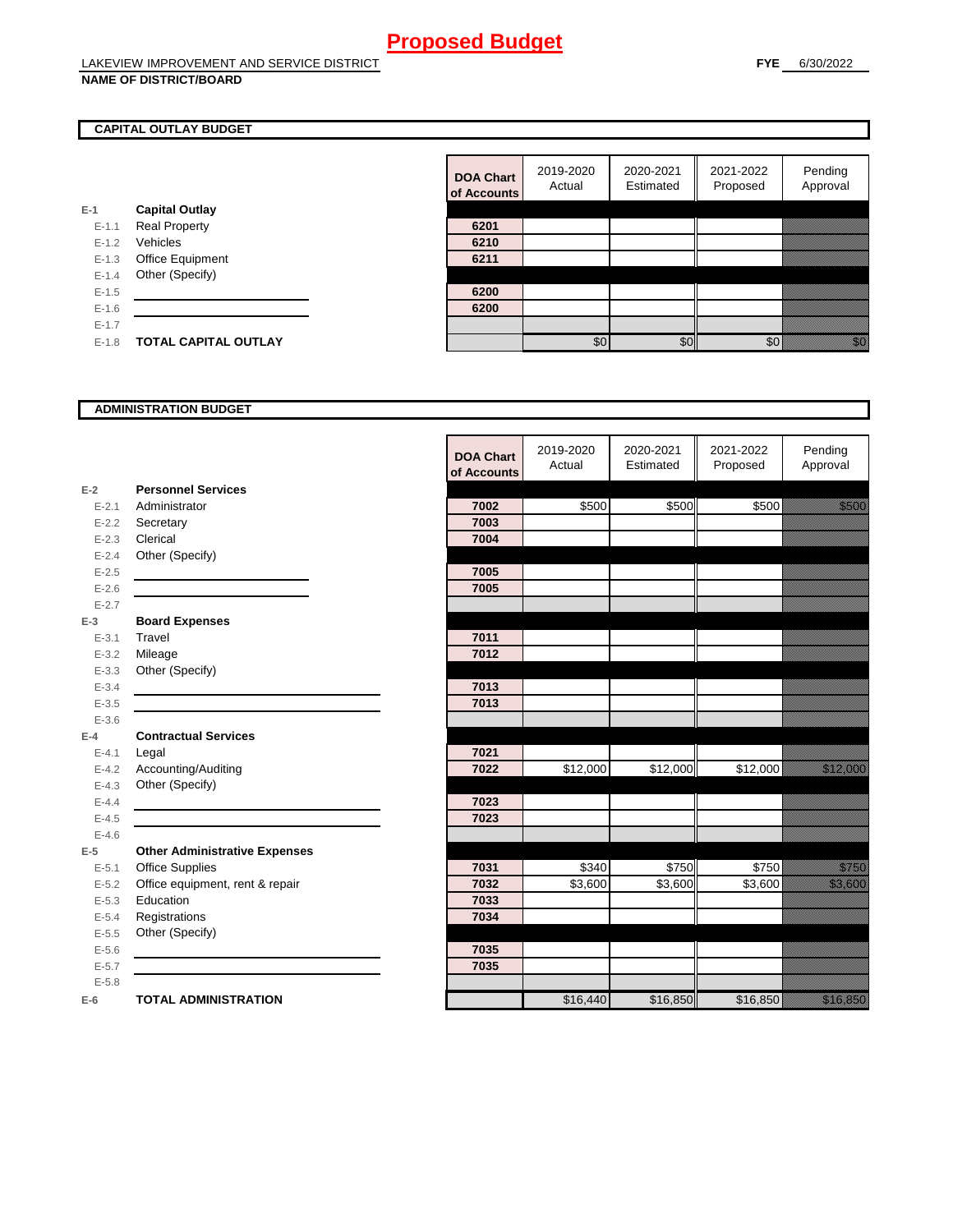#### **NAME OF DISTRICT/BOARD**

#### **CAPITAL OUTLAY BUDGET**

|           |                       | VI AVVV |
|-----------|-----------------------|---------|
| $E-1$     | <b>Capital Outlay</b> |         |
| $E - 1.1$ | <b>Real Property</b>  | 6201    |
| $E - 1.2$ | Vehicles              | 6210    |
| $E-1.3$   | Office Equipment      | 6211    |
| $E - 1.4$ | Other (Specify)       |         |
| $E - 1.5$ |                       | 6200    |
| $E-1.6$   |                       | 6200    |
| $E-1.7$   |                       |         |
| $E - 1.8$ | TOTAL CAPITAL OUTLAY  |         |
|           |                       |         |

| <b>DOA Chart</b><br>of Accounts | 2019-2020<br>Actual | 2020-2021<br>Estimated | 2021-2022<br>Proposed | Pending<br>Approval |
|---------------------------------|---------------------|------------------------|-----------------------|---------------------|
|                                 |                     |                        |                       |                     |
| 6201                            |                     |                        |                       |                     |
| 6210                            |                     |                        |                       |                     |
| 6211                            |                     |                        |                       |                     |
|                                 |                     |                        |                       |                     |
| 6200                            |                     |                        |                       |                     |
| 6200                            |                     |                        |                       |                     |
|                                 |                     |                        |                       |                     |
|                                 | ፍሰ                  | ፍር                     |                       |                     |

#### **ADMINISTRATION BUDGET**

|           |                                      | <b>DOA Chart</b><br>of Accounts | 2019-2020<br>Actual | 2020-2021<br>Estimated | 2021-2022<br>Proposed | Pending<br>Approval    |
|-----------|--------------------------------------|---------------------------------|---------------------|------------------------|-----------------------|------------------------|
| $E-2$     | <b>Personnel Services</b>            |                                 |                     |                        |                       |                        |
| $E - 2.1$ | Administrator                        | 7002                            | \$500               | \$500                  | \$500                 | a a an ainm            |
| $E - 2.2$ | Secretary                            | 7003                            |                     |                        |                       |                        |
| $E - 2.3$ | Clerical                             | 7004                            |                     |                        |                       |                        |
| $E - 2.4$ | Other (Specify)                      |                                 |                     |                        |                       |                        |
| $E-2.5$   |                                      | 7005                            |                     |                        |                       |                        |
| $E - 2.6$ |                                      | 7005                            |                     |                        |                       |                        |
| $E - 2.7$ |                                      |                                 |                     |                        |                       |                        |
| $E-3$     | <b>Board Expenses</b>                |                                 |                     |                        |                       |                        |
| $E - 3.1$ | Travel                               | 7011                            |                     |                        |                       |                        |
| $E - 3.2$ | Mileage                              | 7012                            |                     |                        |                       |                        |
| $E - 3.3$ | Other (Specify)                      |                                 |                     |                        |                       |                        |
| $E - 3.4$ |                                      | 7013                            |                     |                        |                       |                        |
| $E - 3.5$ |                                      | 7013                            |                     |                        |                       |                        |
| $E - 3.6$ |                                      |                                 |                     |                        |                       |                        |
| $E-4$     | <b>Contractual Services</b>          |                                 |                     |                        |                       |                        |
| $E - 4.1$ | Legal                                | 7021                            |                     |                        |                       |                        |
| $E-4.2$   | Accounting/Auditing                  | 7022                            | \$12,000            | \$12,000               | \$12,000              | <u> Kalifornia (</u>   |
| $E - 4.3$ | Other (Specify)                      |                                 |                     |                        |                       |                        |
| $E-4.4$   |                                      | 7023                            |                     |                        |                       |                        |
| $E-4.5$   |                                      | 7023                            |                     |                        |                       |                        |
| $E-4.6$   |                                      |                                 |                     |                        |                       |                        |
| $E-5$     | <b>Other Administrative Expenses</b> |                                 |                     |                        |                       |                        |
| $E - 5.1$ | <b>Office Supplies</b>               | 7031                            | \$340               | \$750                  | \$750                 | <u>tions and</u>       |
| $E - 5.2$ | Office equipment, rent & repair      | 7032                            | \$3,600             | \$3,600                | \$3,600               | <u> Mariji Sarajev</u> |
| $E - 5.3$ | Education                            | 7033                            |                     |                        |                       |                        |
| $E - 5.4$ | Registrations                        | 7034                            |                     |                        |                       |                        |
| $E-5.5$   | Other (Specify)                      |                                 |                     |                        |                       |                        |
| $E-5.6$   |                                      | 7035                            |                     |                        |                       |                        |
| $E - 5.7$ |                                      | 7035                            |                     |                        |                       |                        |
| $E - 5.8$ |                                      |                                 |                     |                        |                       |                        |
| $E-6$     | <b>TOTAL ADMINISTRATION</b>          |                                 | \$16,440            | \$16,850               | \$16,850              | a a a an an t-ainm     |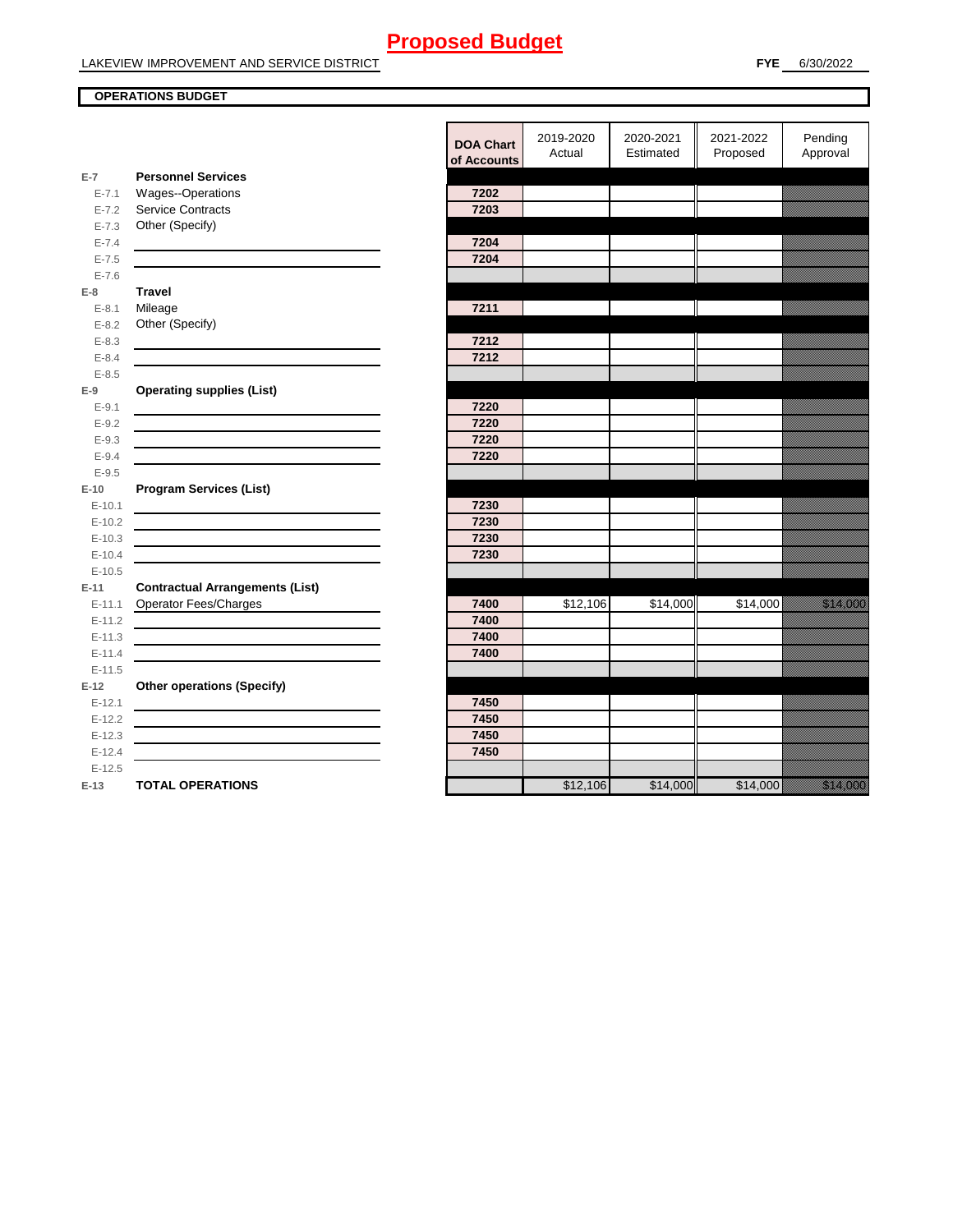LAKEVIEW IMPROVEMENT AND SERVICE DISTRICT

### **OPERATIONS BUDGET**

|                      |                                                                                                                      | <b>DOA Chart</b><br>of Accounts | 2019-2020<br>Actual | 2020-2021<br>Estimated | 2021-2022<br>Proposed | Pending<br>Approval                                                                                                      |
|----------------------|----------------------------------------------------------------------------------------------------------------------|---------------------------------|---------------------|------------------------|-----------------------|--------------------------------------------------------------------------------------------------------------------------|
| $E-7$                | <b>Personnel Services</b>                                                                                            |                                 |                     |                        |                       |                                                                                                                          |
| $E - 7.1$            | Wages--Operations                                                                                                    | 7202                            |                     |                        |                       |                                                                                                                          |
| $E - 7.2$            | <b>Service Contracts</b>                                                                                             | 7203                            |                     |                        |                       |                                                                                                                          |
| $E - 7.3$            | Other (Specify)                                                                                                      |                                 |                     |                        |                       |                                                                                                                          |
| $E - 7.4$            |                                                                                                                      | 7204                            |                     |                        |                       |                                                                                                                          |
| $E - 7.5$            |                                                                                                                      | 7204                            |                     |                        |                       |                                                                                                                          |
| $E - 7.6$            |                                                                                                                      |                                 |                     |                        |                       |                                                                                                                          |
| $E-8$                | <b>Travel</b>                                                                                                        |                                 |                     |                        |                       |                                                                                                                          |
| $E - 8.1$            | Mileage                                                                                                              | 7211                            |                     |                        |                       |                                                                                                                          |
| $E - 8.2$            | Other (Specify)                                                                                                      |                                 |                     |                        |                       |                                                                                                                          |
| $E - 8.3$            |                                                                                                                      | 7212                            |                     |                        |                       |                                                                                                                          |
| $E - 8.4$            |                                                                                                                      | 7212                            |                     |                        |                       |                                                                                                                          |
| $E - 8.5$            |                                                                                                                      |                                 |                     |                        |                       |                                                                                                                          |
| $E-9$                | <b>Operating supplies (List)</b>                                                                                     |                                 |                     |                        |                       |                                                                                                                          |
| $E-9.1$              |                                                                                                                      | 7220                            |                     |                        |                       |                                                                                                                          |
| $E - 9.2$            |                                                                                                                      | 7220                            |                     |                        |                       |                                                                                                                          |
| $E - 9.3$            | <u> 1989 - Johann Stein, Amerikaansk politiker († 1908)</u>                                                          | 7220                            |                     |                        |                       |                                                                                                                          |
| $E - 9.4$            |                                                                                                                      | 7220                            |                     |                        |                       |                                                                                                                          |
| $E - 9.5$            |                                                                                                                      |                                 |                     |                        |                       |                                                                                                                          |
| $E-10$               | <b>Program Services (List)</b>                                                                                       |                                 |                     |                        |                       |                                                                                                                          |
| $E-10.1$             |                                                                                                                      | 7230                            |                     |                        |                       |                                                                                                                          |
| $E-10.2$             |                                                                                                                      | 7230                            |                     |                        |                       |                                                                                                                          |
| $E-10.3$             |                                                                                                                      | 7230                            |                     |                        |                       |                                                                                                                          |
| $E-10.4$             |                                                                                                                      | 7230                            |                     |                        |                       |                                                                                                                          |
| $E-10.5$             |                                                                                                                      |                                 |                     |                        |                       |                                                                                                                          |
| $E-11$               | <b>Contractual Arrangements (List)</b>                                                                               |                                 |                     |                        |                       |                                                                                                                          |
| $E - 11.1$           | Operator Fees/Charges                                                                                                | 7400                            | \$12,106            | \$14,000               | \$14,000              | <u>tion and the second the second the second the second the second the second the second the second the second t</u>     |
| $E-11.2$             |                                                                                                                      | 7400                            |                     |                        |                       |                                                                                                                          |
| $E-11.3$             | <u> 1980 - Johann Barn, amerikan besteman besteman besteman besteman besteman besteman besteman besteman bestema</u> | 7400                            |                     |                        |                       |                                                                                                                          |
| $E-11.4$             |                                                                                                                      | 7400                            |                     |                        |                       |                                                                                                                          |
| $E-11.5$             |                                                                                                                      |                                 |                     |                        |                       |                                                                                                                          |
| $E-12$               | <b>Other operations (Specify)</b>                                                                                    |                                 |                     |                        |                       |                                                                                                                          |
| $E-12.1$             |                                                                                                                      | 7450<br>7450                    |                     |                        |                       |                                                                                                                          |
| $E-12.2$             |                                                                                                                      | 7450                            |                     |                        |                       |                                                                                                                          |
| $E-12.3$             |                                                                                                                      | 7450                            |                     |                        |                       |                                                                                                                          |
| $E-12.4$<br>$E-12.5$ |                                                                                                                      |                                 |                     |                        |                       |                                                                                                                          |
| $E-13$               | <b>TOTAL OPERATIONS</b>                                                                                              |                                 | \$12,106            | \$14,000               | \$14,000              | a katika katika katika katika alifuwa alifuwa alifuwa alifuwa alifuwa alifuwa alifuwa alifuwa alifuwa alifuwa<br>Marejeo |
|                      |                                                                                                                      |                                 |                     |                        |                       |                                                                                                                          |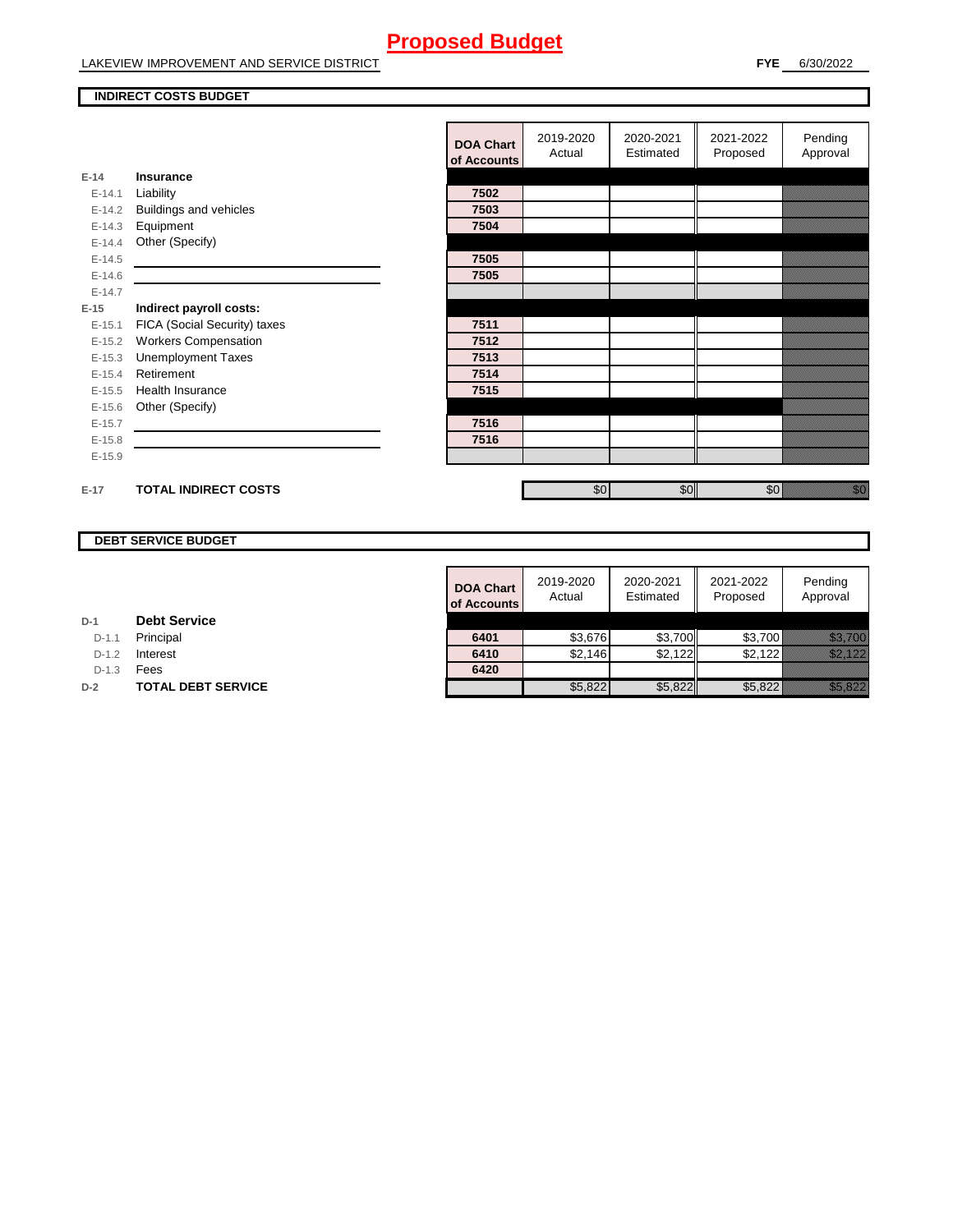LAKEVIEW IMPROVEMENT AND SERVICE DISTRICT

#### **INDIRECT COSTS BUDGET**

|          |                              | <b>DOA Chart</b><br>of Accounts | 2019-2020<br>Actual | 2020-2021<br>Estimated | 2021-2022<br>Proposed | Pending<br>Approval                                                                                                                                                                                                            |
|----------|------------------------------|---------------------------------|---------------------|------------------------|-----------------------|--------------------------------------------------------------------------------------------------------------------------------------------------------------------------------------------------------------------------------|
| $E-14$   | <b>Insurance</b>             |                                 |                     |                        |                       |                                                                                                                                                                                                                                |
| $E-14.1$ | Liability                    | 7502                            |                     |                        |                       |                                                                                                                                                                                                                                |
| $E-14.2$ | Buildings and vehicles       | 7503                            |                     |                        |                       |                                                                                                                                                                                                                                |
| $E-14.3$ | Equipment                    | 7504                            |                     |                        |                       |                                                                                                                                                                                                                                |
| $E-14.4$ | Other (Specify)              |                                 |                     |                        |                       |                                                                                                                                                                                                                                |
| $E-14.5$ |                              | 7505                            |                     |                        |                       |                                                                                                                                                                                                                                |
| $E-14.6$ |                              | 7505                            |                     |                        |                       |                                                                                                                                                                                                                                |
| $E-14.7$ |                              |                                 |                     |                        |                       |                                                                                                                                                                                                                                |
| $E-15$   | Indirect payroll costs:      |                                 |                     |                        |                       |                                                                                                                                                                                                                                |
| $E-15.1$ | FICA (Social Security) taxes | 7511                            |                     |                        |                       |                                                                                                                                                                                                                                |
| $E-15.2$ | <b>Workers Compensation</b>  | 7512                            |                     |                        |                       |                                                                                                                                                                                                                                |
| $E-15.3$ | <b>Unemployment Taxes</b>    | 7513                            |                     |                        |                       |                                                                                                                                                                                                                                |
| $E-15.4$ | Retirement                   | 7514                            |                     |                        |                       |                                                                                                                                                                                                                                |
| $E-15.5$ | Health Insurance             | 7515                            |                     |                        |                       |                                                                                                                                                                                                                                |
| $E-15.6$ | Other (Specify)              |                                 |                     |                        |                       |                                                                                                                                                                                                                                |
| $E-15.7$ |                              | 7516                            |                     |                        |                       |                                                                                                                                                                                                                                |
| $E-15.8$ |                              | 7516                            |                     |                        |                       |                                                                                                                                                                                                                                |
| $E-15.9$ |                              |                                 |                     |                        |                       |                                                                                                                                                                                                                                |
|          |                              |                                 |                     |                        |                       |                                                                                                                                                                                                                                |
| $E-17$   | <b>TOTAL INDIRECT COSTS</b>  |                                 | \$0                 | \$0                    | \$0                   | en de la familie de la familie de la familie de la familie de la familie de la familie de la familie de la fa<br>Concelho de la familie de la familie de la familie de la familie de la familie de la familie de la familie de |

### **DEBT SERVICE BUDGET**

| <b>DOA Chart</b><br>of Accounts | 2019-2020<br>Actual | 2020-2021<br>Estimated | 2021-2022<br>Proposed | Pending<br>Approval |
|---------------------------------|---------------------|------------------------|-----------------------|---------------------|
|                                 |                     |                        |                       |                     |
| 6401                            | \$3,676             | \$3,700                | \$3,700               |                     |
| 6410                            | \$2,146             | \$2,122                | \$2,122               |                     |
| 6420                            |                     |                        |                       |                     |
|                                 | \$5.822             | \$5.822                | \$5.822               |                     |

**D-1 Debt Service**

D-1.1 **Principal** 

**D-1.2 Interest** 

D-1.3 **Fees** 

**D-2 TOTAL DEBT SERVICE**